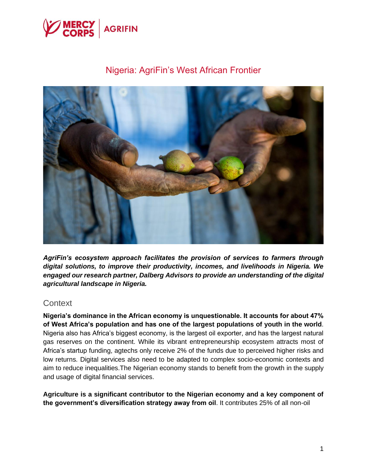

# Nigeria: AgriFin's West African Frontier



*AgriFin's ecosystem approach facilitates the provision of services to farmers through digital solutions, to improve their productivity, incomes, and livelihoods in Nigeria. We engaged our research partner, Dalberg Advisors to provide an understanding of the digital agricultural landscape in Nigeria.*

### **Context**

**Nigeria's dominance in the African economy is unquestionable. It accounts for about 47% of West Africa's population and has one of the largest populations of youth in the world**. Nigeria also has Africa's biggest economy, is the largest oil exporter, and has the largest natural gas reserves on the continent. While its vibrant entrepreneurship ecosystem attracts most of Africa's startup funding, agtechs only receive 2% of the funds due to perceived higher risks and low returns. Digital services also need to be adapted to complex socio-economic contexts and aim to reduce inequalities.The Nigerian economy stands to benefit from the growth in the supply and usage of digital financial services.

**Agriculture is a significant contributor to the Nigerian economy and a key component of the government's diversification strategy away from oil**. It contributes 25% of all non-oil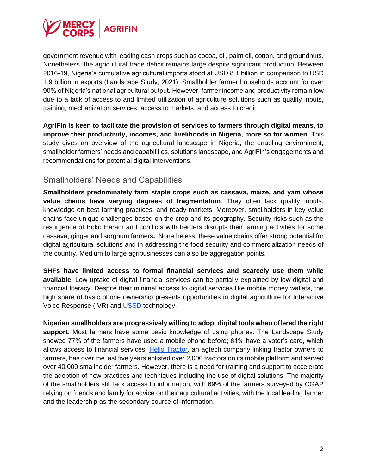

government revenue with leading cash crops such as cocoa, oil, palm oil, cotton, and groundnuts. Nonetheless, the agricultural trade deficit remains large despite significant production. Between 2016-19, Nigeria's cumulative agricultural imports stood at USD 8.1 billion in comparison to USD 1.9 billion in exports (Landscape Study, 2021). Smallholder farmer households account for over 90% of Nigeria's national agricultural output**.** However, farmer income and productivity remain low due to a lack of access to and limited utilization of agriculture solutions such as quality inputs, training, mechanization services, access to markets, and access to credit.

**AgriFin is keen to facilitate the provision of services to farmers through digital means, to improve their productivity, incomes, and livelihoods in Nigeria, more so for women.** This study gives an overview of the agricultural landscape in Nigeria, the enabling environment, smallholder farmers' needs and capabilities, solutions landscape, and AgriFin's engagements and recommendations for potential digital interventions.

## Smallholders' Needs and Capabilities

**Smallholders predominately farm staple crops such as cassava, maize, and yam whose value chains have varying degrees of fragmentation**. They often lack quality inputs, knowledge on best farming practices, and ready markets. Moreover, smallholders in key value chains face unique challenges based on the crop and its geography. Security risks such as the resurgence of Boko Haram and conflicts with herders disrupts their farming activities for some cassava, ginger and sorghum farmers**.** Nonetheless, these value chains offer strong potential for digital agricultural solutions and in addressing the food security and commercialization needs of the country. Medium to large agribusinesses can also be aggregation points.

**SHFs have limited access to formal financial services and scarcely use them while available.** Low uptake of digital financial services can be partially explained by low digital and financial literacy. Despite their minimal access to digital services like mobile money wallets, the high share of basic phone ownership presents opportunities in digital agriculture for Interactive Voice Response (IVR) and [USSD](https://www.cgap.org/blog/what-ussd-why-does-it-matter-mobile-financial-services) technology.

**Nigerian smallholders are progressively willing to adopt digital tools when offered the right support.** Most farmers have some basic knowledge of using phones. The Landscape Study showed 77% of the farmers have used a mobile phone before; 81% have a voter's card, which allows access to financial services. [Hello Tractor,](https://www.mercycorpsagrifin.org/?s=hello+tractor) an agtech company linking tractor owners to farmers, has over the last five years enlisted over 2,000 tractors on its mobile platform and served over 40,000 smallholder farmers. However, there is a need for training and support to accelerate the adoption of new practices and techniques including the use of digital solutions. The majority of the smallholders still lack access to information, with 69% of the farmers surveyed by CGAP relying on friends and family for advice on their agricultural activities, with the local leading farmer and the leadership as the secondary source of information.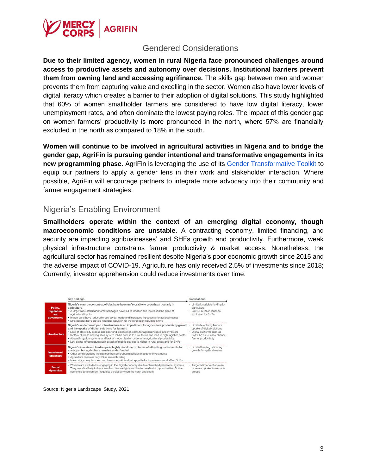

### Gendered Considerations

**Due to their limited agency, women in rural Nigeria face pronounced challenges around access to productive assets and autonomy over decisions. Institutional barriers prevent them from owning land and accessing agrifinance.** The skills gap between men and women prevents them from capturing value and excelling in the sector. Women also have lower levels of digital literacy which creates a barrier to their adoption of digital solutions. This study highlighted that 60% of women smallholder farmers are considered to have low digital literacy, lower unemployment rates, and often dominate the lowest paying roles. The impact of this gender gap on women farmers' productivity is more pronounced in the north, where 57% are financially excluded in the north as compared to 18% in the south.

**Women will continue to be involved in agricultural activities in Nigeria and to bridge the gender gap, AgriFin is pursuing gender intentional and transformative engagements in its new programming phase.** AgriFin is leveraging the use of its [Gender Transformative Toolkit](https://www.mercycorpsagrifin.org/agrifin-gender-transformative-toolkit/) to equip our partners to apply a gender lens in their work and stakeholder interaction. Where possible, AgriFin will encourage partners to integrate more advocacy into their community and farmer engagement strategies.

## Nigeria's Enabling Environment

**Smallholders operate within the context of an emerging digital economy, though macroeconomic conditions are unstable**. A contracting economy, limited financing, and security are impacting agribusinesses' and SHFs growth and productivity. Furthermore, weak physical infrastructure constrains farmer productivity & market access. Nonetheless, the agricultural sector has remained resilient despite Nigeria's poor economic growth since 2015 and the adverse impact of COVID-19. Agriculture has only received 2.5% of investments since 2018; Currently, investor apprehension could reduce investments over time.

|                                             | <b>Key findings</b>                                                                                                                                                                                                                                                                                                                                                                                                                                                                                                                                           | Implications                                                                                                                                     |  |  |
|---------------------------------------------|---------------------------------------------------------------------------------------------------------------------------------------------------------------------------------------------------------------------------------------------------------------------------------------------------------------------------------------------------------------------------------------------------------------------------------------------------------------------------------------------------------------------------------------------------------------|--------------------------------------------------------------------------------------------------------------------------------------------------|--|--|
| Policy,<br>regulation,<br>and<br>governance | Nigeria's macro-economic policies have been unfavorable to growth particularly in<br>agriculture<br>. A large trade deficit and forex shortages have led to inflation and increased the price of<br>agricultural inputs<br>. Import bans have reduced cross-border trade and increased input costs for agribusinesses<br>• DFS policies have slowed financial inclusion for the rural poor including SHFs                                                                                                                                                     | · Limited available funding for<br>agriculture<br>• Low DFS reach leads to<br>exclusion for SHFs                                                 |  |  |
| <b>Infrastructure</b>                       | Nigeria's underdeveloped infrastructure is an impediment for agriculture productivity growth<br>and the uptake of digital solutions for farmers<br>• Lack of electricity access and poor grid lead to high costs for agribusinesses and investors<br>· Inefficient roads and logistics system inhibit access to rural farms and lead to high logistics costs<br>• Absent irrigation systems and lack of modernization undermine agricultural productivity<br>. Low digital infrastructure such as ack of mobile devices is higher in rural areas and for SHFs | · Limited electricity hinders<br>uptake of digital solutions<br>· Digital platforms such as<br>SMS, IVR, etc. can enhance<br>farmer productivity |  |  |
| <b>Investment</b><br>landscape              | Nigeria's investment landscape is highly developed in terms of attracting investments for<br>start-ups, but agriculture remains underfunded.<br>• Other considerations include cumbersome/absent policies that deter investments<br>• Agriculture receives only 3% of raised funding<br>· Insecurity, corruption, and cumbersome policies limit appetite for investments and affect SHFs                                                                                                                                                                      | • Limited funding is limiting<br>growth for agribusinesses                                                                                       |  |  |
| <b>Social</b><br>dynamics                   | . Women are excluded in engaging in the digital economy due to entrenched patriarchal systems.<br>They are also likely to have less land tenure rights and limited leadership opportunities. Social-<br>economic development inequities persist between the north and south                                                                                                                                                                                                                                                                                   | · Targeted interventions can<br>increase uptake for excluded<br>groups                                                                           |  |  |

Source: Nigeria Landscape Study, 2021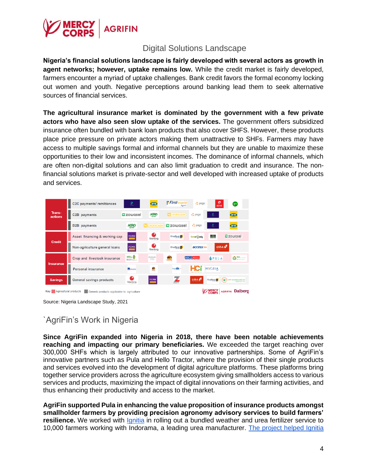

## Digital Solutions Landscape

**Nigeria's financial solutions landscape is fairly developed with several actors as growth in agent networks; however, uptake remains low.** While the credit market is fairly developed, farmers encounter a myriad of uptake challenges. Bank credit favors the formal economy locking out women and youth. Negative perceptions around banking lead them to seek alternative sources of financial services.

**The agricultural insurance market is dominated by the government with a few private actors who have also seen slow uptake of the services.** The government offers subsidized insurance often bundled with bank loan products that also cover SHFS. However, these products place price pressure on private actors making them unattractive to SHFs. Farmers may have access to multiple savings formal and informal channels but they are unable to maximize these opportunities to their low and inconsistent incomes. The dominance of informal channels, which are often non-digital solutions and can also limit graduation to credit and insurance. The nonfinancial solutions market is private-sector and well developed with increased uptake of products and services.

| Trans-<br>actions                                                                                                               | C2C payments/remittances            | $\mathbf{\Omega}$<br>Obec              | <b>CHIN</b>                                | <i>::</i> Firstmonie<br>Agent | $Q$ paga                                              | ø<br>airtet                           | <b>glo</b>                                |  |
|---------------------------------------------------------------------------------------------------------------------------------|-------------------------------------|----------------------------------------|--------------------------------------------|-------------------------------|-------------------------------------------------------|---------------------------------------|-------------------------------------------|--|
|                                                                                                                                 | C2B payments                        | <b>ロ</b> zowosel                       | <b>AGRO</b>                                | CROP2CASH                     | C paga                                                | $\mathbf{p}_j$                        | <b>MIN</b>                                |  |
|                                                                                                                                 | <b>B2B</b> payments                 | <b>AGRO</b>                            | CROP2CASH                                  | <b>ロ</b> zowosel              | $\bigcirc$ paga                                       | £,                                    | <b>MIN</b>                                |  |
| <b>Credit</b>                                                                                                                   | Asset financing & working cap       | FCMB                                   | o<br>Sterling                              | <b>FirstBank</b>              | farmer wdy                                            | 50x                                   | 급 zowosel                                 |  |
|                                                                                                                                 | Non-agriculture general loans       | FCMB<br>═                              | Sterling                                   | <b>FirstBank</b>              | access >>>                                            | <b>UBAN</b><br><b>THE VISION BANK</b> |                                           |  |
| <b>Insurance</b>                                                                                                                | <b>Crop and livestock insurance</b> | <b>NIRSAL S</b><br><b>Britishopped</b> | <b>MINE DENVIER</b><br>sonnel<br>ras rasca | $\blacksquare$                | <b>AIICO</b> INSURANCE<br><b>BETWEEN DEPARTMENTAL</b> | <b>APULA</b>                          | CO NAIC                                   |  |
|                                                                                                                                 | <b>Personal insurance</b>           | <b>CO</b> BANSARD                      | $\bullet$                                  | Country                       | <b>For difficulties</b> in approved                   | <b>HYGEIA</b>                         |                                           |  |
| Savings,                                                                                                                        | <b>General savings products</b>     | n<br>Sterling                          | <b>FCMB</b>                                | z<br>ZENITH                   | <b>UBAN</b><br><b>DESCRIPTION</b>                     | ĹΒ,<br><b>FirstBank</b>               | LAPO Wordhance Cank Ltd<br>Weimakin Liver |  |
| <b>MERCY</b><br>CORPS<br><b>AGRIFIN Dalberg</b><br>Agricultural products<br>Key  <br>Generic products applicable to agriculture |                                     |                                        |                                            |                               |                                                       |                                       |                                           |  |

Source: Nigeria Landscape Study, 2021

## `AgriFin's Work in Nigeria

**Since AgriFin expanded into Nigeria in 2018, there have been notable achievements reaching and impacting our primary beneficiaries.** We exceeded the target reaching over 300,000 SHFs which is largely attributed to our innovative partnerships. Some of AgriFin's innovative partners such as Pula and Hello Tractor, where the provision of their single products and services evolved into the development of digital agriculture platforms. These platforms bring together service providers across the agriculture ecosystem giving smallholders access to various services and products, maximizing the impact of digital innovations on their farming activities, and thus enhancing their productivity and access to the market.

**AgriFin supported Pula in enhancing the value proposition of insurance products amongst smallholder farmers by providing precision agronomy advisory services to build farmers'**  resilience. We worked with *Ignitia* in rolling out a bundled weather and urea fertilizer service to 10,000 farmers working with Indorama, a leading urea manufacturer. [The project helped Ignitia](https://www.mercycorpsagrifin.org/project/agrifin-impact-series-ignitia/)